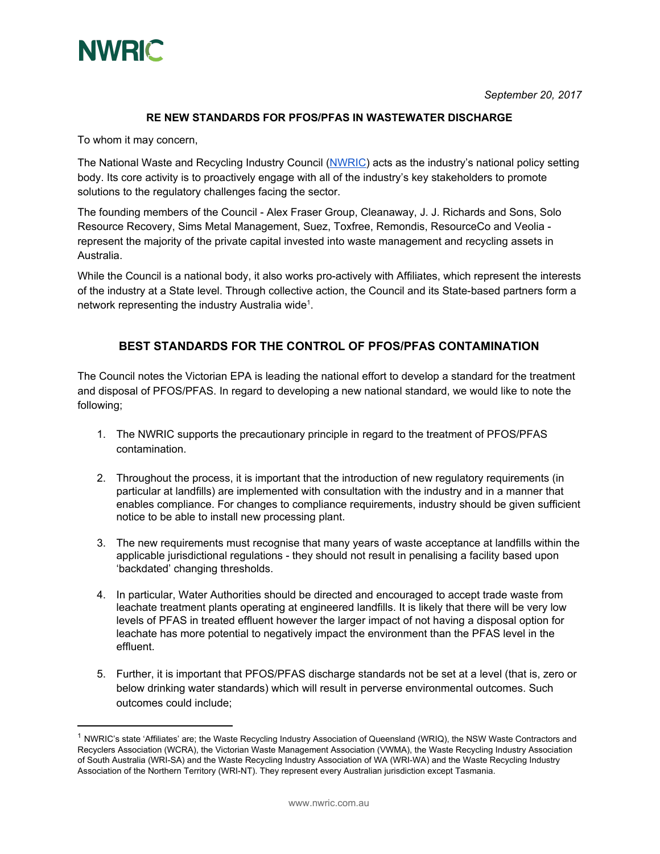

*September 20, 2017*

## **RE NEW STANDARDS FOR PFOS/PFAS IN WASTEWATER DISCHARGE**

To whom it may concern,

The National Waste and Recycling Industry Council ([NWRIC\)](http://www.nwric.com.au/) acts as the industry's national policy setting body. Its core activity is to proactively engage with all of the industry's key stakeholders to promote solutions to the regulatory challenges facing the sector.

The founding members of the Council - Alex Fraser Group, Cleanaway, J. J. Richards and Sons, Solo Resource Recovery, Sims Metal Management, Suez, Toxfree, Remondis, ResourceCo and Veolia represent the majority of the private capital invested into waste management and recycling assets in Australia.

While the Council is a national body, it also works pro-actively with Affiliates, which represent the interests of the industry at a State level. Through collective action, the Council and its State-based partners form a network representing the industry Australia wide<sup>1</sup>.

## **BEST STANDARDS FOR THE CONTROL OF PFOS/PFAS CONTAMINATION**

The Council notes the Victorian EPA is leading the national effort to develop a standard for the treatment and disposal of PFOS/PFAS. In regard to developing a new national standard, we would like to note the following;

- 1. The NWRIC supports the precautionary principle in regard to the treatment of PFOS/PFAS contamination.
- 2. Throughout the process, it is important that the introduction of new regulatory requirements (in particular at landfills) are implemented with consultation with the industry and in a manner that enables compliance. For changes to compliance requirements, industry should be given sufficient notice to be able to install new processing plant.
- 3. The new requirements must recognise that many years of waste acceptance at landfills within the applicable jurisdictional regulations - they should not result in penalising a facility based upon 'backdated' changing thresholds.
- 4. In particular, Water Authorities should be directed and encouraged to accept trade waste from leachate treatment plants operating at engineered landfills. It is likely that there will be very low levels of PFAS in treated effluent however the larger impact of not having a disposal option for leachate has more potential to negatively impact the environment than the PFAS level in the effluent.
- 5. Further, it is important that PFOS/PFAS discharge standards not be set at a level (that is, zero or below drinking water standards) which will result in perverse environmental outcomes. Such outcomes could include;

<sup>&</sup>lt;sup>1</sup> NWRIC's state 'Affiliates' are; the Waste Recycling Industry Association of Queensland (WRIQ), the NSW Waste Contractors and Recyclers Association (WCRA), the Victorian Waste Management Association (VWMA), the Waste Recycling Industry Association of South Australia (WRI-SA) and the Waste Recycling Industry Association of WA (WRI-WA) and the Waste Recycling Industry Association of the Northern Territory (WRI-NT). They represent every Australian jurisdiction except Tasmania.